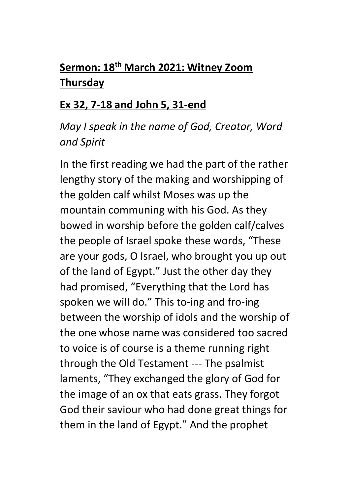## **Sermon: 18th March 2021: Witney Zoom Thursday**

## **Ex 32, 7-18 and John 5, 31-end**

## *May I speak in the name of God, Creator, Word and Spirit*

In the first reading we had the part of the rather lengthy story of the making and worshipping of the golden calf whilst Moses was up the mountain communing with his God. As they bowed in worship before the golden calf/calves the people of Israel spoke these words, "These are your gods, O Israel, who brought you up out of the land of Egypt." Just the other day they had promised, "Everything that the Lord has spoken we will do." This to-ing and fro-ing between the worship of idols and the worship of the one whose name was considered too sacred to voice is of course is a theme running right through the Old Testament --- The psalmist laments, "They exchanged the glory of God for the image of an ox that eats grass. They forgot God their saviour who had done great things for them in the land of Egypt." And the prophet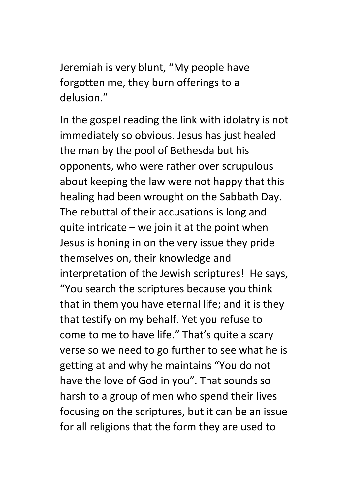Jeremiah is very blunt, "My people have forgotten me, they burn offerings to a delusion."

In the gospel reading the link with idolatry is not immediately so obvious. Jesus has just healed the man by the pool of Bethesda but his opponents, who were rather over scrupulous about keeping the law were not happy that this healing had been wrought on the Sabbath Day. The rebuttal of their accusations is long and quite intricate – we join it at the point when Jesus is honing in on the very issue they pride themselves on, their knowledge and interpretation of the Jewish scriptures! He says, "You search the scriptures because you think that in them you have eternal life; and it is they that testify on my behalf. Yet you refuse to come to me to have life." That's quite a scary verse so we need to go further to see what he is getting at and why he maintains "You do not have the love of God in you". That sounds so harsh to a group of men who spend their lives focusing on the scriptures, but it can be an issue for all religions that the form they are used to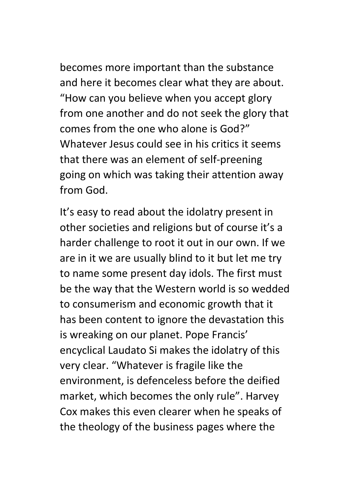becomes more important than the substance and here it becomes clear what they are about. "How can you believe when you accept glory from one another and do not seek the glory that comes from the one who alone is God?" Whatever Jesus could see in his critics it seems that there was an element of self-preening going on which was taking their attention away from God.

It's easy to read about the idolatry present in other societies and religions but of course it's a harder challenge to root it out in our own. If we are in it we are usually blind to it but let me try to name some present day idols. The first must be the way that the Western world is so wedded to consumerism and economic growth that it has been content to ignore the devastation this is wreaking on our planet. Pope Francis' encyclical Laudato Si makes the idolatry of this very clear. "Whatever is fragile like the environment, is defenceless before the deified market, which becomes the only rule". Harvey Cox makes this even clearer when he speaks of the theology of the business pages where the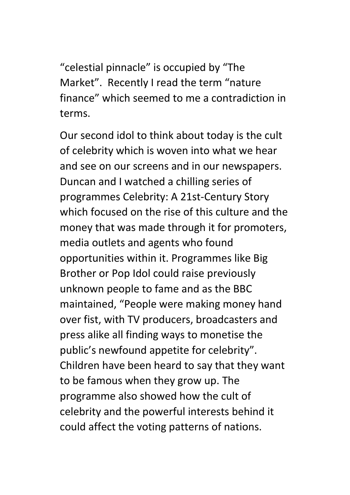"celestial pinnacle" is occupied by "The Market". Recently I read the term "nature finance" which seemed to me a contradiction in terms.

Our second idol to think about today is the cult of celebrity which is woven into what we hear and see on our screens and in our newspapers. Duncan and I watched a chilling series of programmes Celebrity: A 21st-Century Story which focused on the rise of this culture and the money that was made through it for promoters, media outlets and agents who found opportunities within it. Programmes like Big Brother or Pop Idol could raise previously unknown people to fame and as the BBC maintained, "People were making money hand over fist, with TV producers, broadcasters and press alike all finding ways to monetise the public's newfound appetite for celebrity". Children have been heard to say that they want to be famous when they grow up. The programme also showed how the cult of celebrity and the powerful interests behind it could affect the voting patterns of nations.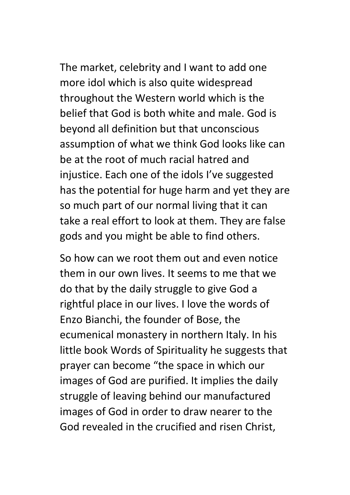The market, celebrity and I want to add one more idol which is also quite widespread throughout the Western world which is the belief that God is both white and male. God is beyond all definition but that unconscious assumption of what we think God looks like can be at the root of much racial hatred and injustice. Each one of the idols I've suggested has the potential for huge harm and yet they are so much part of our normal living that it can take a real effort to look at them. They are false gods and you might be able to find others.

So how can we root them out and even notice them in our own lives. It seems to me that we do that by the daily struggle to give God a rightful place in our lives. I love the words of Enzo Bianchi, the founder of Bose, the ecumenical monastery in northern Italy. In his little book Words of Spirituality he suggests that prayer can become "the space in which our images of God are purified. It implies the daily struggle of leaving behind our manufactured images of God in order to draw nearer to the God revealed in the crucified and risen Christ,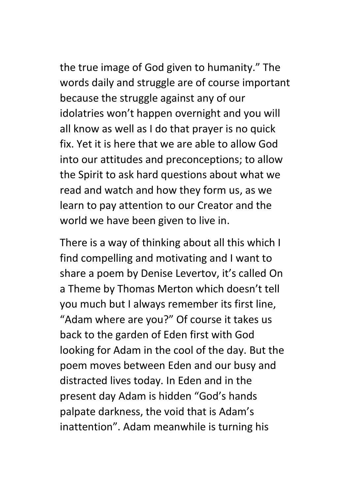the true image of God given to humanity." The words daily and struggle are of course important because the struggle against any of our idolatries won't happen overnight and you will all know as well as I do that prayer is no quick fix. Yet it is here that we are able to allow God into our attitudes and preconceptions; to allow the Spirit to ask hard questions about what we read and watch and how they form us, as we learn to pay attention to our Creator and the world we have been given to live in.

There is a way of thinking about all this which I find compelling and motivating and I want to share a poem by Denise Levertov, it's called On a Theme by Thomas Merton which doesn't tell you much but I always remember its first line, "Adam where are you?" Of course it takes us back to the garden of Eden first with God looking for Adam in the cool of the day. But the poem moves between Eden and our busy and distracted lives today. In Eden and in the present day Adam is hidden "God's hands palpate darkness, the void that is Adam's inattention". Adam meanwhile is turning his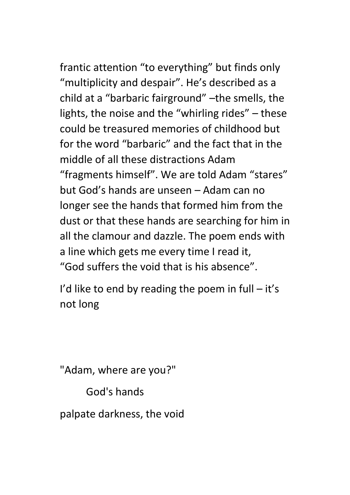frantic attention "to everything" but finds only "multiplicity and despair". He's described as a child at a "barbaric fairground" –the smells, the lights, the noise and the "whirling rides" – these could be treasured memories of childhood but for the word "barbaric" and the fact that in the middle of all these distractions Adam "fragments himself". We are told Adam "stares" but God's hands are unseen – Adam can no longer see the hands that formed him from the dust or that these hands are searching for him in all the clamour and dazzle. The poem ends with a line which gets me every time I read it, "God suffers the void that is his absence".

I'd like to end by reading the poem in full  $-$  it's not long

"Adam, where are you?"

God's hands

palpate darkness, the void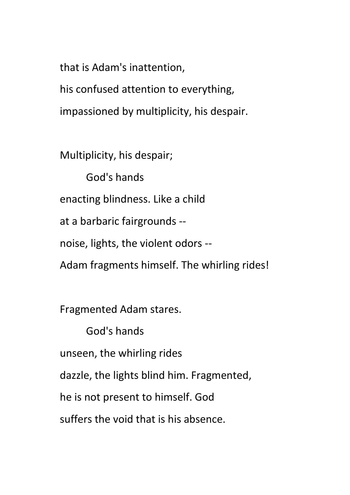that is Adam's inattention,

his confused attention to everything, impassioned by multiplicity, his despair.

Multiplicity, his despair;

 God's hands enacting blindness. Like a child at a barbaric fairgrounds - noise, lights, the violent odors -- Adam fragments himself. The whirling rides!

Fragmented Adam stares.

 God's hands unseen, the whirling rides dazzle, the lights blind him. Fragmented, he is not present to himself. God suffers the void that is his absence.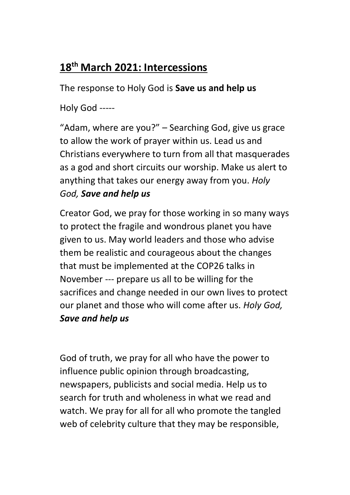## **18th March 2021: Intercessions**

The response to Holy God is **Save us and help us**

Holy God -----

"Adam, where are you?" – Searching God, give us grace to allow the work of prayer within us. Lead us and Christians everywhere to turn from all that masquerades as a god and short circuits our worship. Make us alert to anything that takes our energy away from you. *Holy God, Save and help us*

Creator God, we pray for those working in so many ways to protect the fragile and wondrous planet you have given to us. May world leaders and those who advise them be realistic and courageous about the changes that must be implemented at the COP26 talks in November --- prepare us all to be willing for the sacrifices and change needed in our own lives to protect our planet and those who will come after us. *Holy God, Save and help us*

God of truth, we pray for all who have the power to influence public opinion through broadcasting, newspapers, publicists and social media. Help us to search for truth and wholeness in what we read and watch. We pray for all for all who promote the tangled web of celebrity culture that they may be responsible,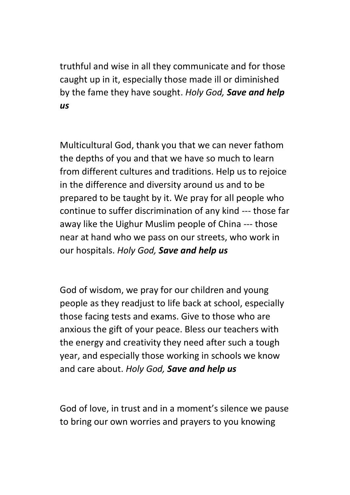truthful and wise in all they communicate and for those caught up in it, especially those made ill or diminished by the fame they have sought. *Holy God, Save and help us*

Multicultural God, thank you that we can never fathom the depths of you and that we have so much to learn from different cultures and traditions. Help us to rejoice in the difference and diversity around us and to be prepared to be taught by it. We pray for all people who continue to suffer discrimination of any kind --- those far away like the Uighur Muslim people of China --- those near at hand who we pass on our streets, who work in our hospitals. *Holy God, Save and help us*

God of wisdom, we pray for our children and young people as they readjust to life back at school, especially those facing tests and exams. Give to those who are anxious the gift of your peace. Bless our teachers with the energy and creativity they need after such a tough year, and especially those working in schools we know and care about. *Holy God, Save and help us*

God of love, in trust and in a moment's silence we pause to bring our own worries and prayers to you knowing